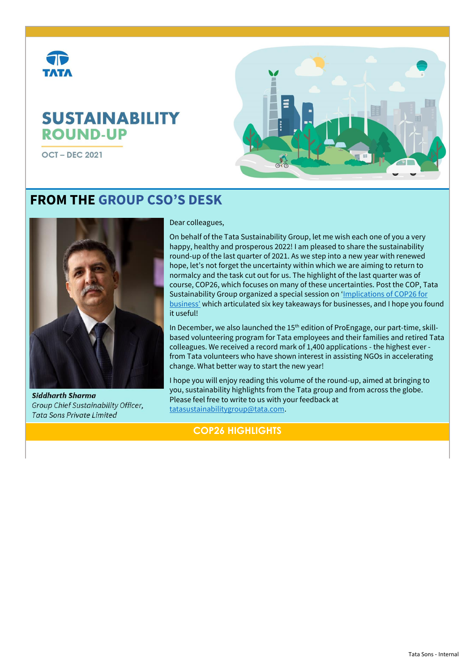

# **SUSTAINABILITY ROUND-UP**

**OCT-DEC 2021** 



# **FROM THE GROUP CSO'S DESK**



**Siddharth Sharma** Group Chief Sustainability Officer, Tata Sons Private Limited

### Dear colleagues,

On behalf of the Tata Sustainability Group, let me wish each one of you a very happy, healthy and prosperous 2022! I am pleased to share the sustainability round-up of the last quarter of 2021. As we step into a new year with renewed hope, let's not forget the uncertainty within which we are aiming to return to normalcy and the task cut out for us. The highlight of the last quarter was of course, COP26, which focuses on many of these uncertainties. Post the COP, Tata Sustainability Group organized a special session on 'Implications of COP26 for [business'](https://www.tatasustainability.com/pdfs/Resources/Restricted/Implications_of_COP_for_business_-_Special_SWCI_session.pdf) which articulated six key takeaways for businesses, and I hope you found it useful!

In December, we also launched the 15<sup>th</sup> edition of ProEngage, our part-time, skillbased volunteering program for Tata employees and their families and retired Tata colleagues. We received a record mark of 1,400 applications - the highest ever from Tata volunteers who have shown interest in assisting NGOs in accelerating change. What better way to start the new year!

I hope you will enjoy reading this volume of the round-up, aimed at bringing to you, sustainability highlights from the Tata group and from across the globe. Please feel free to write to us with your feedback at [tatasustainabilitygroup@tata.com.](mailto:tatasustainabilitygroup@tata.com)

## **COP26 HIGHLIGHTS**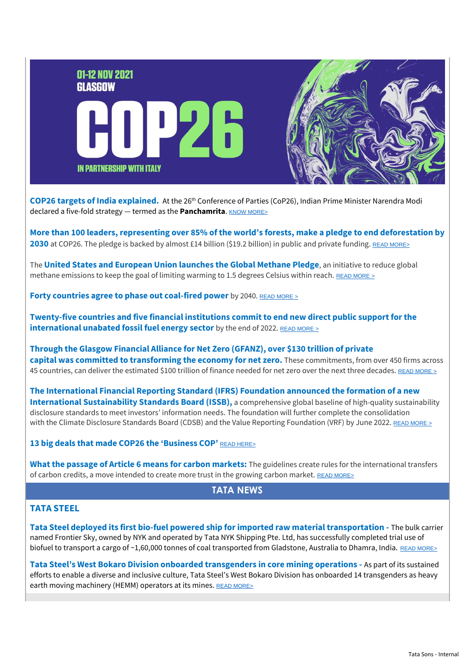

**COP26 targets of India explained.** At the 26th Conference of Parties (CoP26), Indian Prime Minister Narendra Modi declared a five-fold strategy — termed as the **Panchamrita**. KNOW [MORE>](https://www.downtoearth.org.in/blog/climate-change/india-s-new-climate-targets-bold-ambitious-and-a-challenge-for-the-world-80022)

**More than 100 leaders, representing over 85% of the world's forests, make a pledge to end deforestation by 2030** at COP26. The pledge is backed by almost £14 billion (\$19.2 billion) in public and private funding. [READ MORE>](https://ind01.safelinks.protection.outlook.com/?url=https%3A%2F%2Farabesque.us10.list-manage.com%2Ftrack%2Fclick%3Fu%3D9f68a3b9ff76ba612efbe17de%26id%3D12f098e0c6%26e%3De15b39be53&data=04%7C01%7Cmanjulas%40tata.com%7Ca5dccad2c92b43046acd08d9b4d31424%7Ce5ba7b2aa78041a992b2c2ed52d3a12f%7C0%7C0%7C637739642171571025%7CUnknown%7CTWFpbGZsb3d8eyJWIjoiMC4wLjAwMDAiLCJQIjoiV2luMzIiLCJBTiI6Ik1haWwiLCJXVCI6Mn0%3D%7C3000&sdata=IoUPFPDFUEpUArBiFNzJlRquoK37aze946EuL9mLk80%3D&reserved=0)

The **United States and European Union launches the Global Methane Pledge**, an initiative to reduce global methane emissions to keep the goal of limiting warming to 1.5 degrees Celsius within reach. [READ MORE](https://ind01.safelinks.protection.outlook.com/?url=https%3A%2F%2Farabesque.us10.list-manage.com%2Ftrack%2Fclick%3Fu%3D9f68a3b9ff76ba612efbe17de%26id%3D08ff85a142%26e%3De15b39be53&data=04%7C01%7Cmanjulas%40tata.com%7Ca5dccad2c92b43046acd08d9b4d31424%7Ce5ba7b2aa78041a992b2c2ed52d3a12f%7C0%7C0%7C637739642171571025%7CUnknown%7CTWFpbGZsb3d8eyJWIjoiMC4wLjAwMDAiLCJQIjoiV2luMzIiLCJBTiI6Ik1haWwiLCJXVCI6Mn0%3D%7C3000&sdata=ZzOx1BVbzbwCUaxX8c6oMdJdhqDSUKe42bimecuhtwY%3D&reserved=0) >

**Forty countries agree to phase out coal-fired power** by 2040. [READ MORE](https://ind01.safelinks.protection.outlook.com/?url=https%3A%2F%2Farabesque.us10.list-manage.com%2Ftrack%2Fclick%3Fu%3D9f68a3b9ff76ba612efbe17de%26id%3Db37701a977%26e%3De15b39be53&data=04%7C01%7Cmanjulas%40tata.com%7Ca5dccad2c92b43046acd08d9b4d31424%7Ce5ba7b2aa78041a992b2c2ed52d3a12f%7C0%7C0%7C637739642171581023%7CUnknown%7CTWFpbGZsb3d8eyJWIjoiMC4wLjAwMDAiLCJQIjoiV2luMzIiLCJBTiI6Ik1haWwiLCJXVCI6Mn0%3D%7C3000&sdata=OG1opjW44DwEYH2U1XqFxm%2FL3JW%2BzF3%2B0jpq%2B1PwVAY%3D&reserved=0) >

**Twenty-five countries and five financial institutions commit to end new direct public support for the international unabated fossil fuel energy sector** by the end of 2022. READ [MORE](https://ind01.safelinks.protection.outlook.com/?url=https%3A%2F%2Farabesque.us10.list-manage.com%2Ftrack%2Fclick%3Fu%3D9f68a3b9ff76ba612efbe17de%26id%3D9edd914a55%26e%3De15b39be53&data=04%7C01%7Cmanjulas%40tata.com%7Ca5dccad2c92b43046acd08d9b4d31424%7Ce5ba7b2aa78041a992b2c2ed52d3a12f%7C0%7C0%7C637739642171591018%7CUnknown%7CTWFpbGZsb3d8eyJWIjoiMC4wLjAwMDAiLCJQIjoiV2luMzIiLCJBTiI6Ik1haWwiLCJXVCI6Mn0%3D%7C3000&sdata=pgdUva%2BARNquJLPJSe7T%2Fat9iWv7JZDRGFob74A%2Fjz0%3D&reserved=0) >

**Through the Glasgow Financial Alliance for Net Zero (GFANZ), over \$130 trillion of private capital was committed to transforming the economy for net zero.** These commitments, from over 450 firms across 45 countries, can deliver the estimated \$100 trillion of finance needed for net zero over the next three decades. [READ MORE](https://ind01.safelinks.protection.outlook.com/?url=https%3A%2F%2Farabesque.us10.list-manage.com%2Ftrack%2Fclick%3Fu%3D9f68a3b9ff76ba612efbe17de%26id%3D309b9dc644%26e%3De15b39be53&data=04%7C01%7Cmanjulas%40tata.com%7Ca5dccad2c92b43046acd08d9b4d31424%7Ce5ba7b2aa78041a992b2c2ed52d3a12f%7C0%7C0%7C637739642171601016%7CUnknown%7CTWFpbGZsb3d8eyJWIjoiMC4wLjAwMDAiLCJQIjoiV2luMzIiLCJBTiI6Ik1haWwiLCJXVCI6Mn0%3D%7C3000&sdata=FnHKo3T2WeubxIQNFTFbs%2BwhWO7cpA6l84QEVBaZggs%3D&reserved=0) <sup>&</sup>gt;

**[The](https://ind01.safelinks.protection.outlook.com/?url=https%3A%2F%2Farabesque.us10.list-manage.com%2Ftrack%2Fclick%3Fu%3D9f68a3b9ff76ba612efbe17de%26id%3D498f1dc2e0%26e%3De15b39be53&data=04%7C01%7Cmanjulas%40tata.com%7Ca5dccad2c92b43046acd08d9b4d31424%7Ce5ba7b2aa78041a992b2c2ed52d3a12f%7C0%7C0%7C637739642171611010%7CUnknown%7CTWFpbGZsb3d8eyJWIjoiMC4wLjAwMDAiLCJQIjoiV2luMzIiLCJBTiI6Ik1haWwiLCJXVCI6Mn0%3D%7C3000&sdata=5eIZcirqZoJ96ITYgn439i968xKNZsoBvpvDHddSEMU%3D&reserved=0) [International Financial Reporting Standard \(IFRS\) Foundation](https://ind01.safelinks.protection.outlook.com/?url=https%3A%2F%2Farabesque.us10.list-manage.com%2Ftrack%2Fclick%3Fu%3D9f68a3b9ff76ba612efbe17de%26id%3D88da0b8913%26e%3De15b39be53&data=04%7C01%7Cmanjulas%40tata.com%7Ca5dccad2c92b43046acd08d9b4d31424%7Ce5ba7b2aa78041a992b2c2ed52d3a12f%7C0%7C0%7C637739642171621008%7CUnknown%7CTWFpbGZsb3d8eyJWIjoiMC4wLjAwMDAiLCJQIjoiV2luMzIiLCJBTiI6Ik1haWwiLCJXVCI6Mn0%3D%7C3000&sdata=THjJ0zw%2F9MkpiFasdnjmcNwpXzObBl%2FT2Llh4IV62MY%3D&reserved=0) announced the formation of a new International Sustainability Standards Board (ISSB),** a comprehensive global baseline of high-quality sustainability disclosure standards to meet investors' information needs. The foundation will further complete the consolidation with the Climate Disclosure Standards Board (CDSB) and the Value Reporting Foundation (VRF) by June 2022. [READ MORE](https://ind01.safelinks.protection.outlook.com/?url=https%3A%2F%2Farabesque.us10.list-manage.com%2Ftrack%2Fclick%3Fu%3D9f68a3b9ff76ba612efbe17de%26id%3D5782bc14b9%26e%3De15b39be53&data=04%7C01%7Cmanjulas%40tata.com%7Ca5dccad2c92b43046acd08d9b4d31424%7Ce5ba7b2aa78041a992b2c2ed52d3a12f%7C0%7C0%7C637739642171621008%7CUnknown%7CTWFpbGZsb3d8eyJWIjoiMC4wLjAwMDAiLCJQIjoiV2luMzIiLCJBTiI6Ik1haWwiLCJXVCI6Mn0%3D%7C3000&sdata=2dNdRdFjR%2BGH5WX7WqPuMKGJBxdmzHKr8uuDQGN10Zw%3D&reserved=0) >

#### **13 big deals that made COP26 the 'Business COP' [READ HERE>](https://www.greenbiz.com/article/13-big-deals-made-cop26-business-cop)**

**What the passage of Article 6 means for carbon markets:** The guidelines create rules for the international transfers of carbon credits, a move intended to create more trust in the growing carbon market. [READ MORE>](https://www.greenbiz.com/article/what-passage-article-6-means-carbon-markets)

# **TATA NEWS**

#### **TATA STEEL**

**Tata Steel deployed its first bio-fuel powered ship for imported raw material transportation -** The bulk carrier named Frontier Sky, owned by NYK and operated by Tata NYK Shipping Pte. Ltd, has successfully completed trial use of biofuel to transport a cargo of ~1,60,000 tonnes of coal transported from Gladstone, Australia to Dhamra, India. [READ MORE>](https://www.tataworld.com/news/openinside/tata-steel-deploys-its-first-bio-fuel-powered-ship-for-imported-raw-material-transportation)

**Tata Steel's West Bokaro Division onboarded transgenders in core mining operations -** As part of its sustained efforts to enable a diverse and inclusive culture, Tata Steel's West Bokaro Division has onboarded 14 transgenders as heavy earth moving machinery (HEMM) operators at its mines. [READ MORE>](https://www.tataworld.com/news/openinside/Tata-Steels-West-Bokaro-Division-onboards-transgenders-in-core-mining-operations)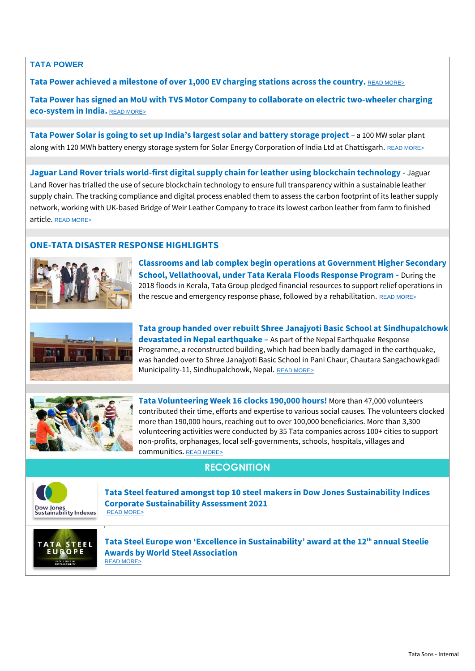### **TATA POWER**

**Tata Power achieved a milestone of over 1,000 EV charging stations across the country.** [READ MORE>](https://www.tataworld.com/news/openinside/Tata-Power-achieves-milestone-of-over-1000-EV-charging-stations-across-the-country)

**Tata Power has signed an MoU with TVS Motor Company to collaborate on electric two-wheeler charging eco-system in India.** [READ MORE>](https://www.tataworld.com/news/openinside/TVS-Motor-Company-signs-MoU-with-Tata-Power-to-collaborate-on-electric-two-wheeler-charging)

**Tata Power Solar is going to set up India's largest solar and battery storage project** – a 100 MW solar plant along with 120 MWh battery energy storage system for Solar Energy Corporation of India Ltd at Chattisgarh. [READ MORE>](https://www.tataworld.com/news/openinside/Tata-Power-Solar-awarded-Indias-largest-solar-and-battery-storage-project)

**Jaguar Land Rover trials world-first digital supply chain for leather using blockchain technology -** Jaguar Land Rover has trialled the use of secure blockchain technology to ensure full transparency within a sustainable leather supply chain. The tracking compliance and digital process enabled them to assess the carbon footprint of its leather supply network, working with UK-based Bridge of Weir Leather Company to trace its lowest carbon leather from farm to finished article. [READ MORE>](https://www.tataworld.com/news/openinside/Jaguar-Land-Rover-trials-world-first-digital-supply-chain-for-leather-using-blockchain-technology)

## **ONE-TATA DISASTER RESPONSE HIGHLIGHTS**



**Classrooms and lab complex begin operations at Government Higher Secondary School, Vellathooval, under Tata Kerala Floods Response Program -** During the 2018 floods in Kerala, Tata Group pledged financial resources to support relief operations in the rescue and emergency response phase, followed by a rehabilitation. [READ MORE>](https://www.tataworld.com/news/openinside/Inauguration-of-classrooms-and-lab-complex-at-Government-Higher-Secondary-School)



**Tata group handed over rebuilt Shree Janajyoti Basic School at Sindhupalchowk devastated in Nepal earthquake –** As part of the Nepal Earthquake Response Programme, a reconstructed building, which had been badly damaged in the earthquake, was handed over to Shree Janajyoti Basic School in Pani Chaur, Chautara Sangachowkgadi Municipality-11, Sindhupalchowk, Nepal. [READ MORE>](https://www.tataworld.com/news/openinside/Tata-group-hands-over-rebuilt-Shree-Janajyoti-Basic-School-at-Sindhupalchowkdevastated-in-Nepal-eart)



**Tata Volunteering Week 16 clocks 190,000 hours!** More than 47,000 volunteers contributed their time, efforts and expertise to various social causes. The volunteers clocked more than 190,000 hours, reaching out to over 100,000 beneficiaries. More than 3,300 volunteering activities were conducted by 35 Tata companies across 100+ cities to support non-profits, orphanages, local self-governments, schools, hospitals, villages and communities. [READ MORE>](https://www.tataworld.com/news/openinside/Tata-Volunteering-Week-16-concludes-successfully)

# **RECOGNITION**



**Tata Steel featured amongst top 10 steel makers in Dow Jones Sustainability Indices Corporate Sustainability Assessment 2021** [READ MORE>](https://www.tataworld.com/news/openinside/Tata-Steel-features-amongst-the-top-10-companies-in-the-steel-industry)



**Tata Steel Europe won 'Excellence in Sustainability' award at the 12th annual Steelie Awards by World Steel Association** [READ MORE>](https://www.tataworld.com/news/openinside/Tata-Steel-Limited-and-Tata-Steel-Europe-win-key-recognitions-at-the-12th-annual-Steelie-Awards-by-W)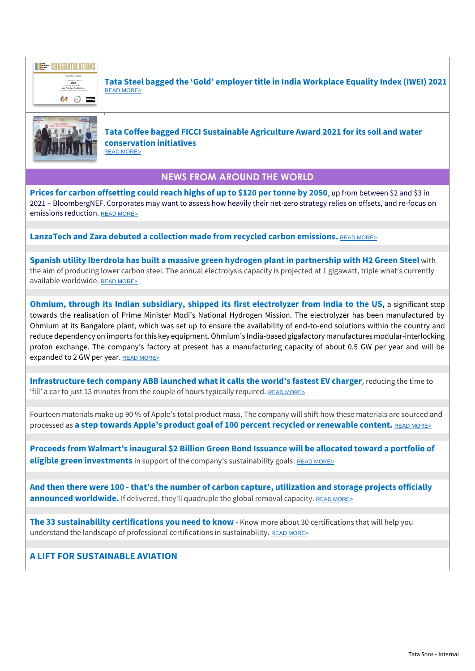

**Tata Steel bagged the 'Gold' employer title in India Workplace Equality Index (IWEI) 2021** [READ MORE>](https://www.tataworld.com/news/openinside/Tata-Steel-bags-the-Gold-employer-title-in-India-Workplace-Equality-Index-IWEI-2021)



**Tata Coffee bagged FICCI Sustainable Agriculture Award 2021 for its soil and water conservation initiatives** [READ MORE>](https://www.tataworld.com/news/openinside/Tata-Coffee-wins-FICCI-Sustainable-Agriculture-Award-2021-for-its-soil-and-water-conservation-initia)

## **NEWS FROM AROUND THE WORLD**

**Prices for carbon offsetting could reach highs of up to \$120 per tonne by 2050**, up from between \$2 and \$3 in 2021 – BloombergNEF. Corporates may want to assess how heavily their net-zero strategy relies on offsets, and re-focus on emissions reduction. [READ MORE>](https://www-edie-net.cdn.ampproject.org/c/s/www.edie.net/amp-news/9/BNEF--Carbon-offset-prices-set-to-increase-50-fold-by-2050/)

**LanzaTech and Zara debuted a collection made from recycled carbon emissions.** [READ MORE>](https://www.greenbiz.com/article/lanzatech-and-zara-debut-collection-made-recycled-carbon-emissions)

**Spanish utility Iberdrola has built a massive green hydrogen plant in partnership with H2 Green Steel** with the aim of producing lower carbon steel. The annual electrolysis capacity is projected at 1 gigawatt, triple what's currently available worldwide. [READ MORE>](https://www.reuters.com/markets/commodities/iberdrola-h2-green-steel-plan-mega-green-hydrogen-plant-2021-12-02/)

**Ohmium, through its Indian subsidiary, shipped its first electrolyzer from India to the US,** a significant step towards the realisation of Prime Minister Modi's National Hydrogen Mission. The electrolyzer has been manufactured by Ohmium at its Bangalore plant, which was set up to ensure the availability of end-to-end solutions within the country and reduce dependency on imports for this key equipment. Ohmium's India-based gigafactory manufactures modular-interlocking proton exchange. The company's factory at present has a manufacturing capacity of about 0.5 GW per year and will be expanded to 2 GW per year. [READ MORE>](https://www.financialexpress.com/express-mobility/ohmium-establishes-india-as-global-hub-for-hydrogen-ships-first-hydrogen-electrolyzer-to-us/2375121/)

**Infrastructure tech company ABB launched what it calls the world's fastest EV charger**, reducing the time to 'fill' a car to just 15 minutes from the couple of hours typically required. [READ MORE>](https://www.reuters.com/business/autos-transportation/abb-launches-worlds-fastest-electric-car-charger-2021-09-30/)

Fourteen materials make up 90 % of Apple's total product mass. The company will shift how these materials are sourced and processed as **a step towards Apple's product goal of 100 percent recycled or renewable content.** [READ MORE>](https://www.businesstoday.in/latest/corporate/story/apple-aims-to-eliminate-mining-looks-to-build-products-using-recycled-renewable-materials-307874-2021-09-28)

**Proceeds from Walmart's inaugural \$2 Billion Green Bond Issuance will be allocated toward a portfolio of eligible green investments** in support of the company's sustainability goals. [READ MORE>](https://corporate.walmart.com/newsroom/2021/09/23/walmart-announces-closing-of-inaugural-2-billion-green-bond-issuance)

**And then there were 100 - that's the number of carbon capture, utilization and storage projects officially announced worldwide.** If delivered, they'll quadruple the global removal capacity. [READ MORE>](https://www.iea.org/commentaries/carbon-capture-in-2021-off-and-running-or-another-false-start)

**The 33 sustainability certifications you need to know -** Know more about 30 certifications that will help you understand the landscape of professional certifications in sustainability. [READ MORE>](https://www.greenbiz.com/article/33-sustainability-certifications-you-need-know)

**A LIFT FOR SUSTAINABLE AVIATION**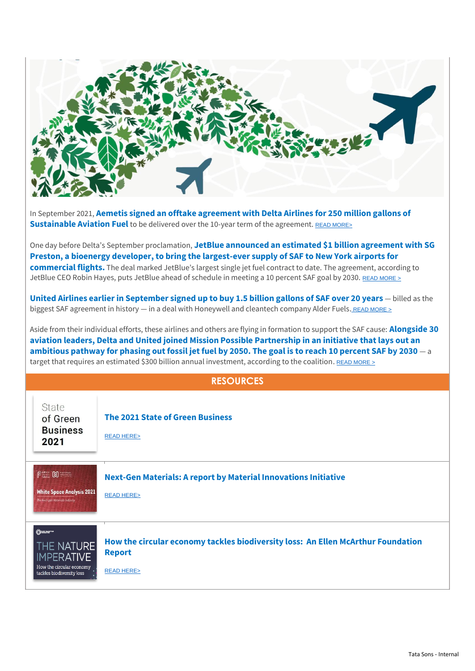

In September 2021, **Aemetis signed an offtake agreement with Delta Airlines for 250 million gallons of Sustainable Aviation Fuel** to be delivered over the 10-year term of the agreement. [READ MORE>](https://www.globenewswire.com/news-release/2021/09/30/2306156/0/en/Aemetis-Signs-Offtake-Agreement-with-Delta-Air-Lines-for-250-Million-Gallons-of-Sustainable-Aviation-Fuel.html?mkt_tok=MjExLU5KWS0xNjUAAAGAN53IYwpVMhUymMdVv4qQuGOnPG5oEU2Qkl_TFrdS79DwOxZBJJtFdHJcYJwGR12NmGB-241h7Eo3pwHo0OXJukEcUhkIQQyZvZa_-4DAVy6X5SI)

One day before Delta's September proclamation, **JetBlue announced an estimated [\\$1 billion agreement](https://ind01.safelinks.protection.outlook.com/?url=http%3A%2F%2Fgo.greenbiz.com%2FMjExLU5KWS0xNjUAAAGAN53IYzjaupBE143W9SsfdEHqSjDQCfAcwkQPr5MmFWvxD-pWQx2m9WNQ7W5sOluFyX2jpKU%3D&data=04%7C01%7Cmanjulas%40tata.com%7C8a65ae128496477def9908d99300ab3d%7Ce5ba7b2aa78041a992b2c2ed52d3a12f%7C0%7C0%7C637702453478554539%7CUnknown%7CTWFpbGZsb3d8eyJWIjoiMC4wLjAwMDAiLCJQIjoiV2luMzIiLCJBTiI6Ik1haWwiLCJXVCI6Mn0%3D%7C1000&sdata=2pa3Y6HJwXtuUpk8UdnyZNUBjrx%2FYQvkP0VnBNcSo2k%3D&reserved=0) with SG Preston, a bioenergy developer, to bring the largest-ever supply of SAF to New York airports for commercial flights.** The deal marked JetBlue's largest single jet fuel contract to date. The agreement, according to JetBlue CEO Robin Hayes, puts JetBlue ahead of schedule in meeting a 10 percent SAF goal by 2030. [READ MORE >](https://www.bloomberg.com/press-releases/2021-09-29/jetblue-accelerates-transition-to-sustainable-aviation-fuel-saf-with-plans-for-the-largest-ever-supply-of-saf-in-new-york?mkt_tok=MjExLU5KWS0xNjUAAAGAN53IY51ZoPmVFbtCaNMRpg3eZZWRnR4FB5E9OyDk4nkHBV2sBsDdurYV09d-8KnggVWK8Y_m_YNdVnp-eTqamjBhiIEwiQFVyxrLmpgKdFtVnnA)

**United Airlines earlier in September signed up to buy 1.5 billion gallons of SAF over 20 years** — billed as the biggest SAF agreement in history — in a deal with Honeywell and cleantech company Alder Fuel[s.](https://www.united.com/en/us/newsroom/announcements/united-honeywell-invest-in-new-clean-tech-venture-from-alder-fuels-powering-biggest-sustainable-fuel-agreement-in-aviation-history-2654951909) READ MORE  $\geq$ 

Aside from their individual efforts, these airlines and others are flying in formation to support the SAF cause: **Alongside 30 aviation leaders, Delta and United joined Mission Possible Partnership in an initiative that lays out an ambitious pathway for phasing out fossil jet fuel by 2050. The goal is to reach 10 percent SAF by 2030** — a target that requires an estimated \$300 billion annual investment, according to the coalition. READ MORE  $\geq$ 

#### **RESOURCES**

| State<br>of Green<br><b>Business</b><br>2021                                                        | <b>The 2021 State of Green Business</b><br><b>READ HERE&gt;</b>                                                           |
|-----------------------------------------------------------------------------------------------------|---------------------------------------------------------------------------------------------------------------------------|
| <b>Pitters (8) CONSTRUCT</b><br><b>White Space Analysis 2021</b><br>The Next-gen Materials Industry | <b>Next-Gen Materials: A report by Material Innovations Initiative</b><br><b>READ HERE&gt;</b>                            |
| ①<br>THE NATURE<br><b>IMPERATIVE</b><br>How the circular economy<br>tackles biodiversity loss       | How the circular economy tackles biodiversity loss: An Ellen McArthur Foundation<br><b>Report</b><br><b>READ HERE&gt;</b> |